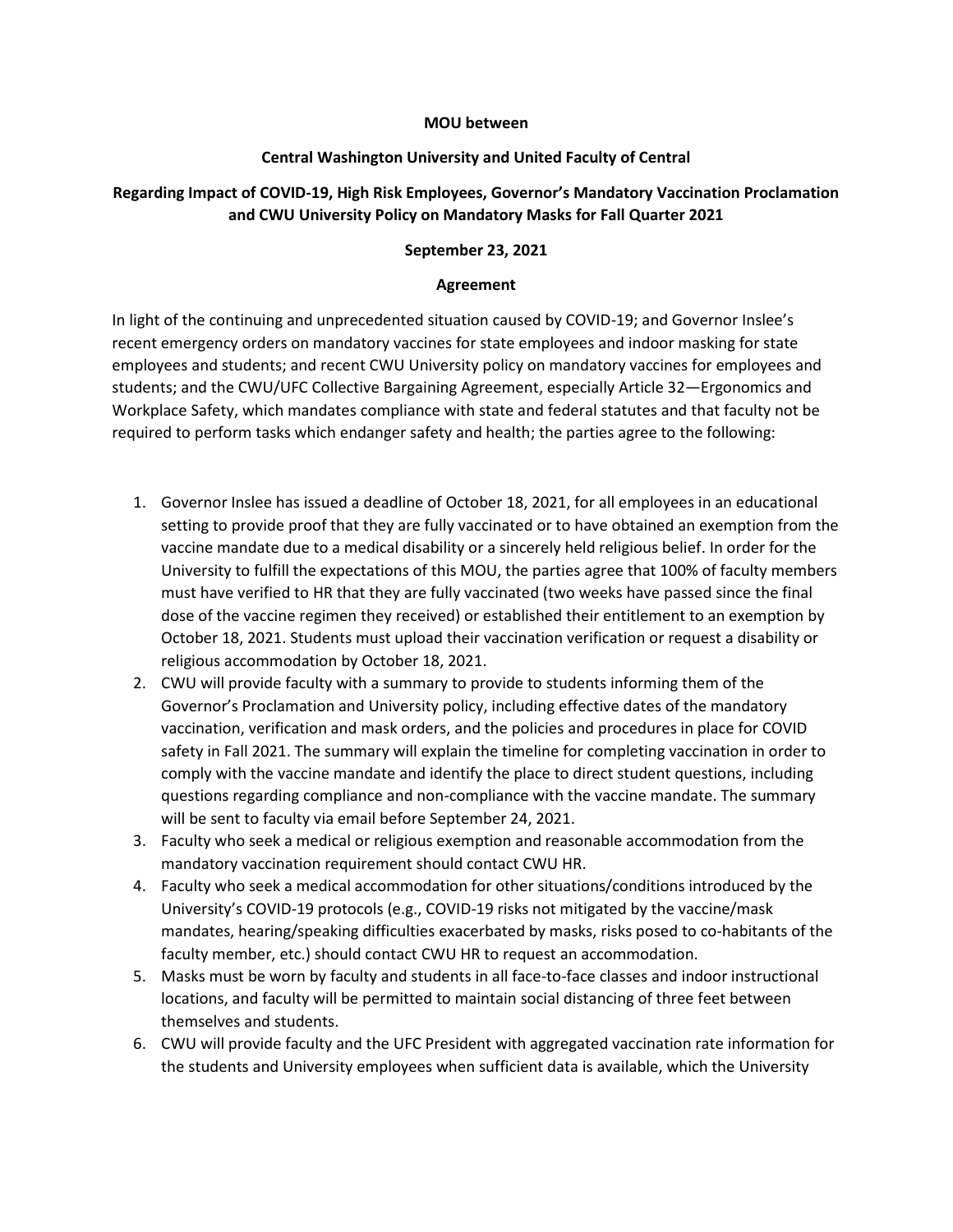#### **MOU between**

### **Central Washington University and United Faculty of Central**

# **Regarding Impact of COVID-19, High Risk Employees, Governor's Mandatory Vaccination Proclamation and CWU University Policy on Mandatory Masks for Fall Quarter 2021**

## **September 23, 2021**

### **Agreement**

In light of the continuing and unprecedented situation caused by COVID-19; and Governor Inslee's recent emergency orders on mandatory vaccines for state employees and indoor masking for state employees and students; and recent CWU University policy on mandatory vaccines for employees and students; and the CWU/UFC Collective Bargaining Agreement, especially Article 32—Ergonomics and Workplace Safety, which mandates compliance with state and federal statutes and that faculty not be required to perform tasks which endanger safety and health; the parties agree to the following:

- 1. Governor Inslee has issued a deadline of October 18, 2021, for all employees in an educational setting to provide proof that they are fully vaccinated or to have obtained an exemption from the vaccine mandate due to a medical disability or a sincerely held religious belief. In order for the University to fulfill the expectations of this MOU, the parties agree that 100% of faculty members must have verified to HR that they are fully vaccinated (two weeks have passed since the final dose of the vaccine regimen they received) or established their entitlement to an exemption by October 18, 2021. Students must upload their vaccination verification or request a disability or religious accommodation by October 18, 2021.
- 2. CWU will provide faculty with a summary to provide to students informing them of the Governor's Proclamation and University policy, including effective dates of the mandatory vaccination, verification and mask orders, and the policies and procedures in place for COVID safety in Fall 2021. The summary will explain the timeline for completing vaccination in order to comply with the vaccine mandate and identify the place to direct student questions, including questions regarding compliance and non-compliance with the vaccine mandate. The summary will be sent to faculty via email before September 24, 2021.
- 3. Faculty who seek a medical or religious exemption and reasonable accommodation from the mandatory vaccination requirement should contact CWU HR.
- 4. Faculty who seek a medical accommodation for other situations/conditions introduced by the University's COVID-19 protocols (e.g., COVID-19 risks not mitigated by the vaccine/mask mandates, hearing/speaking difficulties exacerbated by masks, risks posed to co-habitants of the faculty member, etc.) should contact CWU HR to request an accommodation.
- 5. Masks must be worn by faculty and students in all face-to-face classes and indoor instructional locations, and faculty will be permitted to maintain social distancing of three feet between themselves and students.
- 6. CWU will provide faculty and the UFC President with aggregated vaccination rate information for the students and University employees when sufficient data is available, which the University